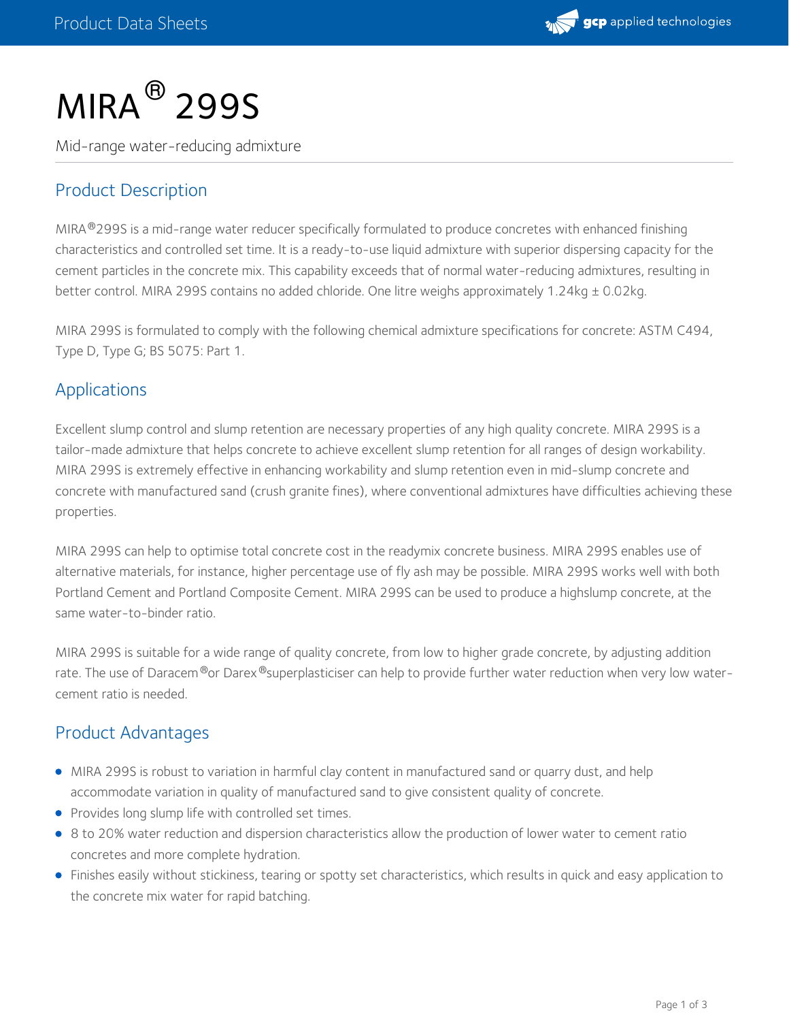

# $MIRA<sup>®</sup>$  299S

Mid-range water-reducing admixture

## Product Description

MIRA®299S is a mid-range water reducer specifically formulated to produce concretes with enhanced finishing characteristics and controlled set time. It is a ready-to-use liquid admixture with superior dispersing capacity for the cement particles in the concrete mix. This capability exceeds that of normal water-reducing admixtures, resulting in better control. MIRA 299S contains no added chloride. One litre weighs approximately 1.24kg ± 0.02kg.

MIRA 299S is formulated to comply with the following chemical admixture specifications for concrete: ASTM C494, Type D, Type G; BS 5075: Part 1.

#### Applications

Excellent slump control and slump retention are necessary properties of any high quality concrete. MIRA 299S is a tailor-made admixture that helps concrete to achieve excellent slump retention for all ranges of design workability. MIRA 299S is extremely effective in enhancing workability and slump retention even in mid-slump concrete and concrete with manufactured sand (crush granite fines), where conventional admixtures have difficulties achieving these properties.

MIRA 299S can help to optimise total concrete cost in the readymix concrete business. MIRA 299S enables use of alternative materials, for instance, higher percentage use of fly ash may be possible. MIRA 299S works well with both Portland Cement and Portland Composite Cement. MIRA 299S can be used to produce a highslump concrete, at the same water-to-binder ratio.

MIRA 299S is suitable for a wide range of quality concrete, from low to higher grade concrete, by adjusting addition rate. The use of Daracem®or Darex®superplasticiser can help to provide further water reduction when very low watercement ratio is needed.

### Product Advantages

- MIRA 299S is robust to variation in harmful clay content in manufactured sand or quarry dust, and help accommodate variation in quality of manufactured sand to give consistent quality of concrete.
- Provides long slump life with controlled set times.
- 8 to 20% water reduction and dispersion characteristics allow the production of lower water to cement ratio concretes and more complete hydration.
- Finishes easily without stickiness, tearing or spotty set characteristics, which results in quick and easy application to the concrete mix water for rapid batching.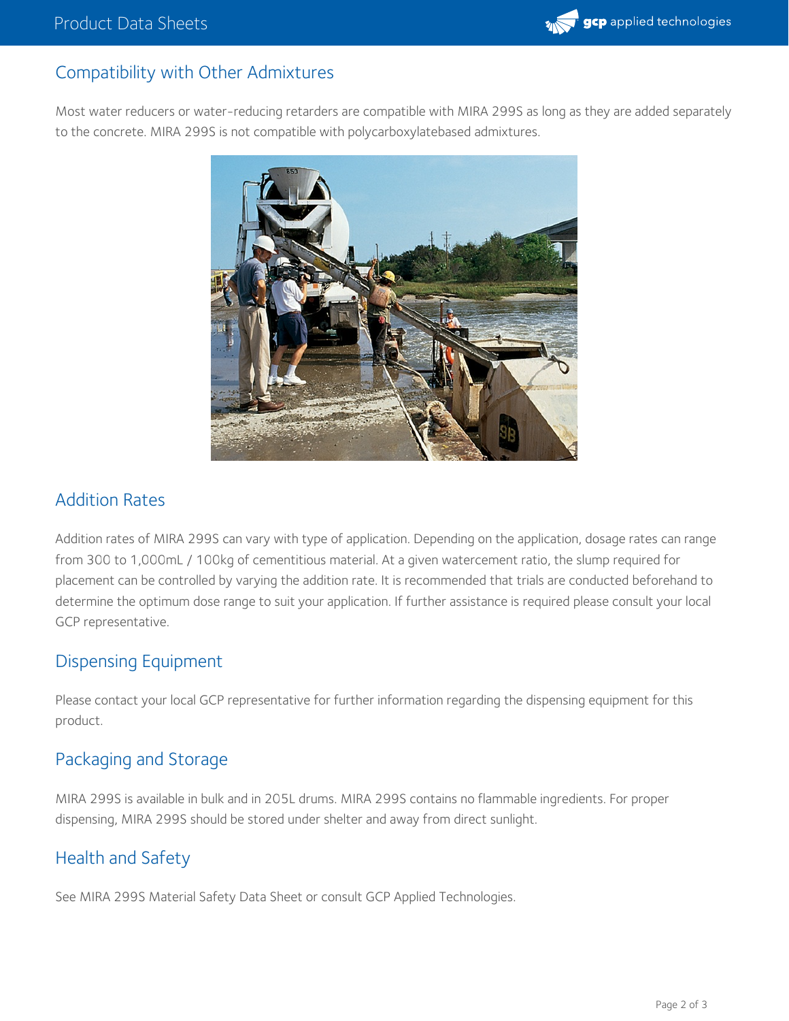

## Compatibility with Other Admixtures

Most water reducers or water-reducing retarders are compatible with MIRA 299S as long as they are added separately to the concrete. MIRA 299S is not compatible with polycarboxylatebased admixtures.



#### Addition Rates

Addition rates of MIRA 299S can vary with type of application. Depending on the application, dosage rates can range from 300 to 1,000mL / 100kg of cementitious material. At a given watercement ratio, the slump required for placement can be controlled by varying the addition rate. It is recommended that trials are conducted beforehand to determine the optimum dose range to suit your application. If further assistance is required please consult your local GCP representative.

### Dispensing Equipment

Please contact your local GCP representative for further information regarding the dispensing equipment for this product.

### Packaging and Storage

MIRA 299S is available in bulk and in 205L drums. MIRA 299S contains no flammable ingredients. For proper dispensing, MIRA 299S should be stored under shelter and away from direct sunlight.

#### Health and Safety

See MIRA 299S Material Safety Data Sheet or consult GCP Applied Technologies.